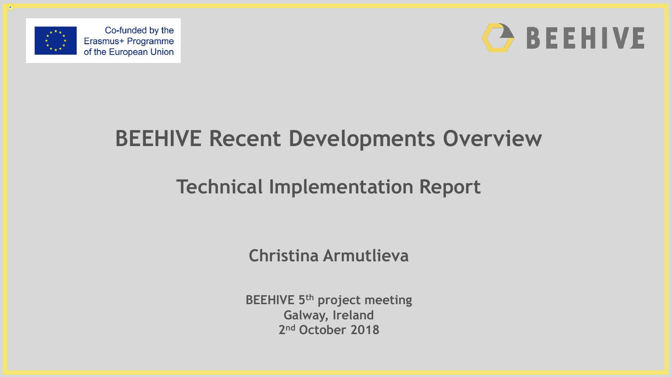



### **BEEHIVE Recent Developments Overview**

#### **Technical Implementation Report**

**Christina Armutlieva**

**BEEHIVE 5th project meeting Galway, Ireland 2 nd October 2018**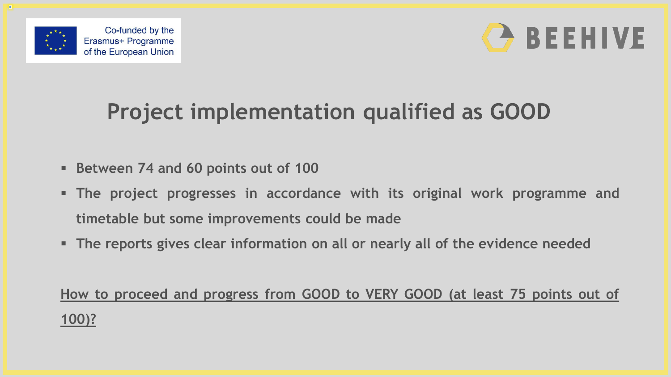



# **Project implementation qualified as GOOD**

- **Between 74 and 60 points out of 100**
- **The project progresses in accordance with its original work programme and timetable but some improvements could be made**
- **The reports gives clear information on all or nearly all of the evidence needed**

**How to proceed and progress from GOOD to VERY GOOD (at least 75 points out of 100)?**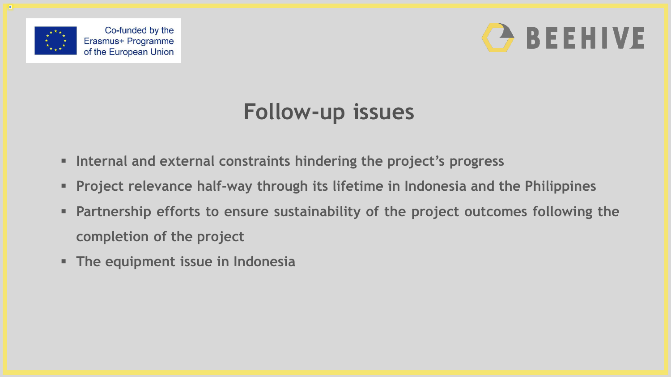



### **Follow-up issues**

- **Internal and external constraints hindering the project's progress**
- **Project relevance half-way through its lifetime in Indonesia and the Philippines**
- **Partnership efforts to ensure sustainability of the project outcomes following the completion of the project**
- **The equipment issue in Indonesia**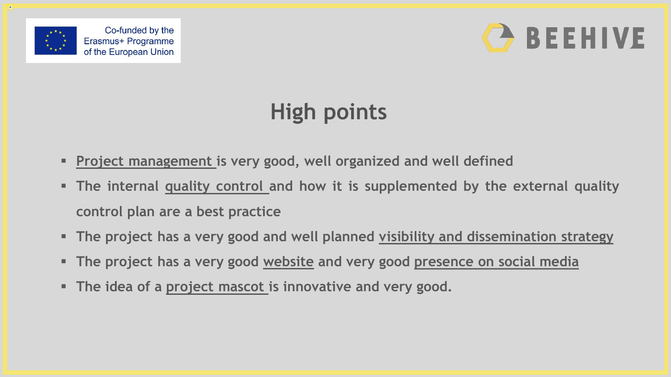



# **High points**

- **Project management is very good, well organized and well defined**
- **The internal quality control and how it is supplemented by the external quality control plan are a best practice**
- **The project has a very good and well planned visibility and dissemination strategy**
- **The project has a very good website and very good presence on social media**
- **The idea of a project mascot is innovative and very good.**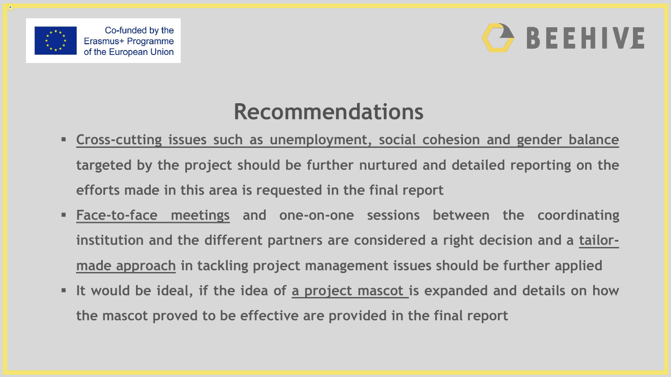



#### **Recommendations**

- **Cross-cutting issues such as unemployment, social cohesion and gender balance targeted by the project should be further nurtured and detailed reporting on the efforts made in this area is requested in the final report**
- **Face-to-face meetings and one-on-one sessions between the coordinating institution and the different partners are considered a right decision and a tailormade approach in tackling project management issues should be further applied**
- **It would be ideal, if the idea of a project mascot is expanded and details on how the mascot proved to be effective are provided in the final report**